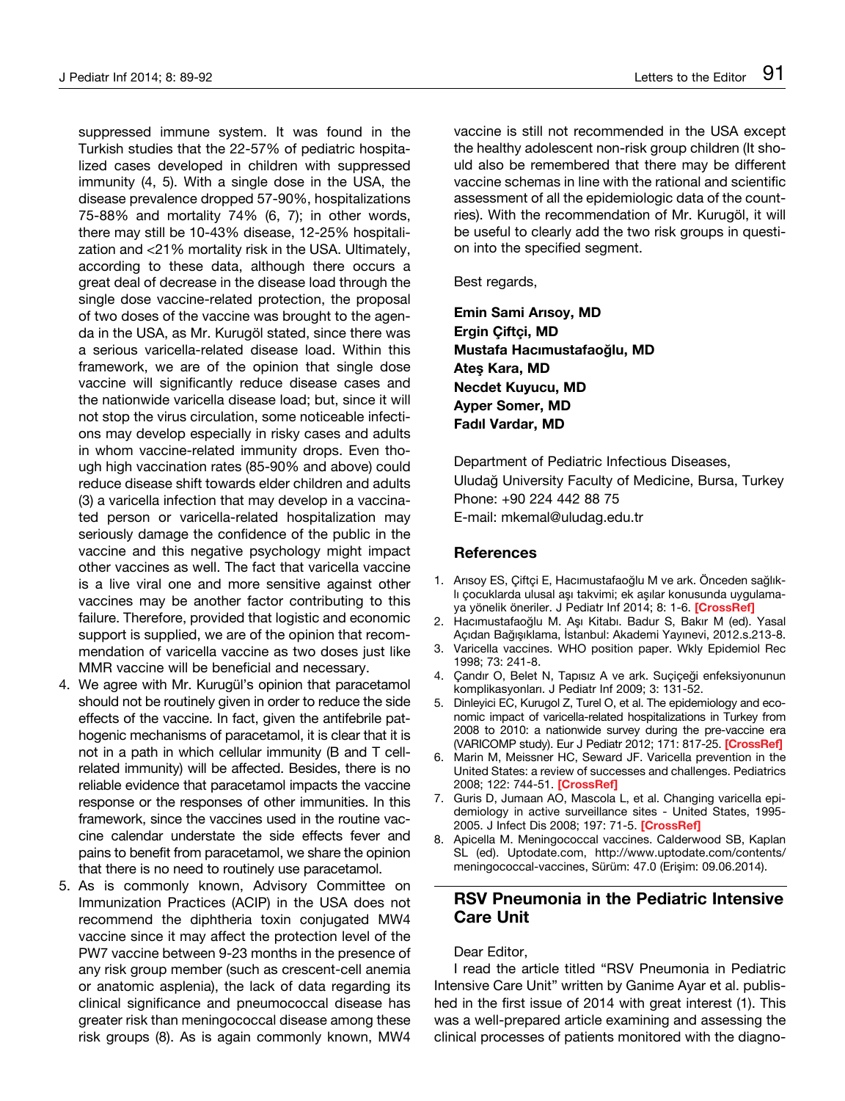suppressed immune system. It was found in the Turkish studies that the 22-57% of pediatric hospitalized cases developed in children with suppressed immunity (4, 5). With a single dose in the USA, the disease prevalence dropped 57-90%, hospitalizations 75-88% and mortality 74% (6, 7); in other words, there may still be 10-43% disease, 12-25% hospitalization and <21% mortality risk in the USA. Ultimately, according to these data, although there occurs a great deal of decrease in the disease load through the single dose vaccine-related protection, the proposal of two doses of the vaccine was brought to the agenda in the USA, as Mr. Kurugöl stated, since there was a serious varicella-related disease load. Within this framework, we are of the opinion that single dose vaccine will significantly reduce disease cases and the nationwide varicella disease load; but, since it will not stop the virus circulation, some noticeable infections may develop especially in risky cases and adults in whom vaccine-related immunity drops. Even though high vaccination rates (85-90% and above) could reduce disease shift towards elder children and adults (3) a varicella infection that may develop in a vaccinated person or varicella-related hospitalization may seriously damage the confidence of the public in the vaccine and this negative psychology might impact other vaccines as well. The fact that varicella vaccine is a live viral one and more sensitive against other vaccines may be another factor contributing to this failure. Therefore, provided that logistic and economic support is supplied, we are of the opinion that recommendation of varicella vaccine as two doses just like MMR vaccine will be beneficial and necessary.

- 4. We agree with Mr. Kurugül's opinion that paracetamol should not be routinely given in order to reduce the side effects of the vaccine. In fact, given the antifebrile pathogenic mechanisms of paracetamol, it is clear that it is not in a path in which cellular immunity (B and T cellrelated immunity) will be affected. Besides, there is no reliable evidence that paracetamol impacts the vaccine response or the responses of other immunities. In this framework, since the vaccines used in the routine vaccine calendar understate the side effects fever and pains to benefit from paracetamol, we share the opinion that there is no need to routinely use paracetamol.
- 5. As is commonly known, Advisory Committee on Immunization Practices (ACIP) in the USA does not recommend the diphtheria toxin conjugated MW4 vaccine since it may affect the protection level of the PW7 vaccine between 9-23 months in the presence of any risk group member (such as crescent-cell anemia or anatomic asplenia), the lack of data regarding its clinical significance and pneumococcal disease has greater risk than meningococcal disease among these risk groups (8). As is again commonly known, MW4

vaccine is still not recommended in the USA except the healthy adolescent non-risk group children (It should also be remembered that there may be different vaccine schemas in line with the rational and scientific assessment of all the epidemiologic data of the countries). With the recommendation of Mr. Kurugöl, it will be useful to clearly add the two risk groups in question into the specified segment.

Best regards,

**Emin Sami Arısoy, MD Ergin Çiftçi, MD Mustafa Hacımustafaoğlu, MD Ateş Kara, MD Necdet Kuyucu, MD Ayper Somer, MD Fadıl Vardar, MD**

Department of Pediatric Infectious Diseases, Uludağ University Faculty of Medicine, Bursa, Turkey Phone: +90 224 442 88 75 E-mail: mkemal@uludag.edu.tr

## **References**

- 1. Arısoy ES, Çiftçi E, Hacımustafaoğlu M ve ark. Önceden sağlıklı çocuklarda ulusal aşı takvimi; ek aşılar konusunda uygulamaya yönelik öneriler. J Pediatr Inf 2014; 8: 1-6. **[[CrossRef\]](http://dx.doi.org/10.5152/ced.2014.0002)**
- 2. Hacımustafaoğlu M. Aşı Kitabı. Badur S, Bakır M (ed). Yasal Açıdan Bağışıklama, İstanbul: Akademi Yayınevi, 2012.s.213-8.
- 3. Varicella vaccines. WHO position paper. Wkly Epidemiol Rec 1998; 73: 241-8.
- 4. Çandır O, Belet N, Tapısız A ve ark. Suçiçeği enfeksiyonunun komplikasyonları. J Pediatr Inf 2009; 3: 131-52.
- 5. Dinleyici EC, Kurugol Z, Turel O, et al. The epidemiology and economic impact of varicella-related hospitalizations in Turkey from 2008 to 2010: a nationwide survey during the pre-vaccine era (VARICOMP study). Eur J Pediatr 2012; 171: 817-25. **[\[CrossRef\]](http://dx.doi.org/10.1007/s00431-011-1650-z)**
- 6. Marin M, Meissner HC, Seward JF. Varicella prevention in the United States: a review of successes and challenges. Pediatrics 2008; 122: 744-51. **[\[CrossRef\]](http://dx.doi.org/10.1542/peds.2008-0567)**
- 7. Guris D, Jumaan AO, Mascola L, et al. Changing varicella epidemiology in active surveillance sites - United States, 1995- 2005. J Infect Dis 2008; 197: 71-5. **[\[CrossRef\]](http://dx.doi.org/10.1086/522156)**
- 8. Apicella M. Meningococcal vaccines. Calderwood SB, Kaplan SL (ed). Uptodate.com, http://www.uptodate.com/contents/ meningococcal-vaccines, Sürüm: 47.0 (Erişim: 09.06.2014).

## **RSV Pneumonia in the Pediatric Intensive Care Unit**

Dear Editor,

I read the article titled "RSV Pneumonia in Pediatric Intensive Care Unit" written by Ganime Ayar et al. published in the first issue of 2014 with great interest (1). This was a well-prepared article examining and assessing the clinical processes of patients monitored with the diagno